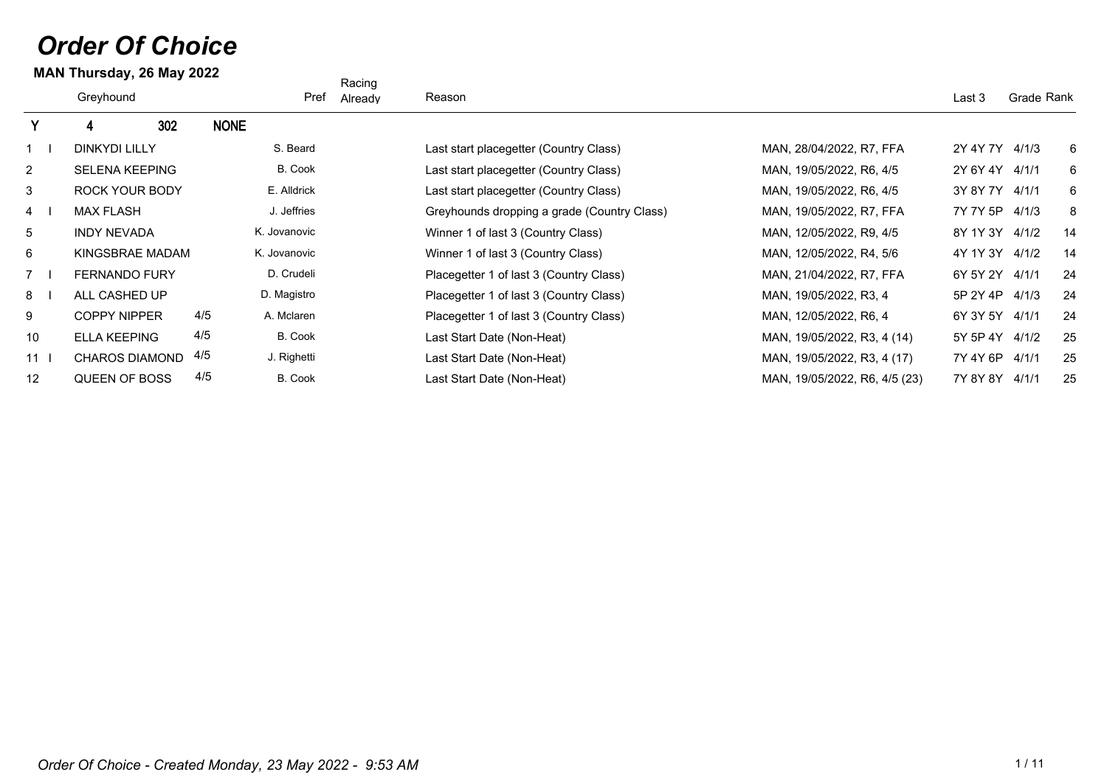## *Order Of Choice*

## **MAN Thursday, 26 May 2022**

|                 |                       |     |              | Racing  |                                             |                               |                |            |
|-----------------|-----------------------|-----|--------------|---------|---------------------------------------------|-------------------------------|----------------|------------|
|                 | Greyhound             |     | Pref         | Already | Reason                                      |                               | Last 3         | Grade Rank |
| Y.              | 302<br>4              |     | <b>NONE</b>  |         |                                             |                               |                |            |
|                 | <b>DINKYDI LILLY</b>  |     | S. Beard     |         | Last start placegetter (Country Class)      | MAN, 28/04/2022, R7, FFA      | 2Y 4Y 7Y 4/1/3 | 6          |
| $\overline{2}$  | <b>SELENA KEEPING</b> |     | B. Cook      |         | Last start placegetter (Country Class)      | MAN, 19/05/2022, R6, 4/5      | 2Y 6Y 4Y 4/1/1 | 6          |
| 3               | ROCK YOUR BODY        |     | E. Alldrick  |         | Last start placegetter (Country Class)      | MAN, 19/05/2022, R6, 4/5      | 3Y 8Y 7Y 4/1/1 | 6          |
| $4 \quad$       | <b>MAX FLASH</b>      |     | J. Jeffries  |         | Greyhounds dropping a grade (Country Class) | MAN, 19/05/2022, R7, FFA      | 7Y 7Y 5P       | 8<br>4/1/3 |
| 5               | <b>INDY NEVADA</b>    |     | K. Jovanovic |         | Winner 1 of last 3 (Country Class)          | MAN, 12/05/2022, R9, 4/5      | 8Y 1Y 3Y 4/1/2 | 14         |
| 6               | KINGSBRAE MADAM       |     | K. Jovanovic |         | Winner 1 of last 3 (Country Class)          | MAN, 12/05/2022, R4, 5/6      | 4Y 1Y 3Y 4/1/2 | 14         |
| $7 \quad$       | <b>FERNANDO FURY</b>  |     | D. Crudeli   |         | Placegetter 1 of last 3 (Country Class)     | MAN, 21/04/2022, R7, FFA      | 6Y 5Y 2Y 4/1/1 | 24         |
| 8               | ALL CASHED UP         |     | D. Magistro  |         | Placegetter 1 of last 3 (Country Class)     | MAN, 19/05/2022, R3, 4        | 5P 2Y 4P 4/1/3 | 24         |
| 9               | <b>COPPY NIPPER</b>   | 4/5 | A. Mclaren   |         | Placegetter 1 of last 3 (Country Class)     | MAN, 12/05/2022, R6, 4        | 6Y 3Y 5Y 4/1/1 | 24         |
| 10              | <b>ELLA KEEPING</b>   | 4/5 | B. Cook      |         | Last Start Date (Non-Heat)                  | MAN, 19/05/2022, R3, 4 (14)   | 5Y 5P 4Y 4/1/2 | 25         |
| 11 <sup>1</sup> | <b>CHAROS DIAMOND</b> | 4/5 | J. Righetti  |         | Last Start Date (Non-Heat)                  | MAN, 19/05/2022, R3, 4 (17)   | 7Y 4Y 6P 4/1/1 | 25         |
| 12              | QUEEN OF BOSS         | 4/5 | B. Cook      |         | Last Start Date (Non-Heat)                  | MAN, 19/05/2022, R6, 4/5 (23) | 7Y 8Y 8Y 4/1/1 | 25         |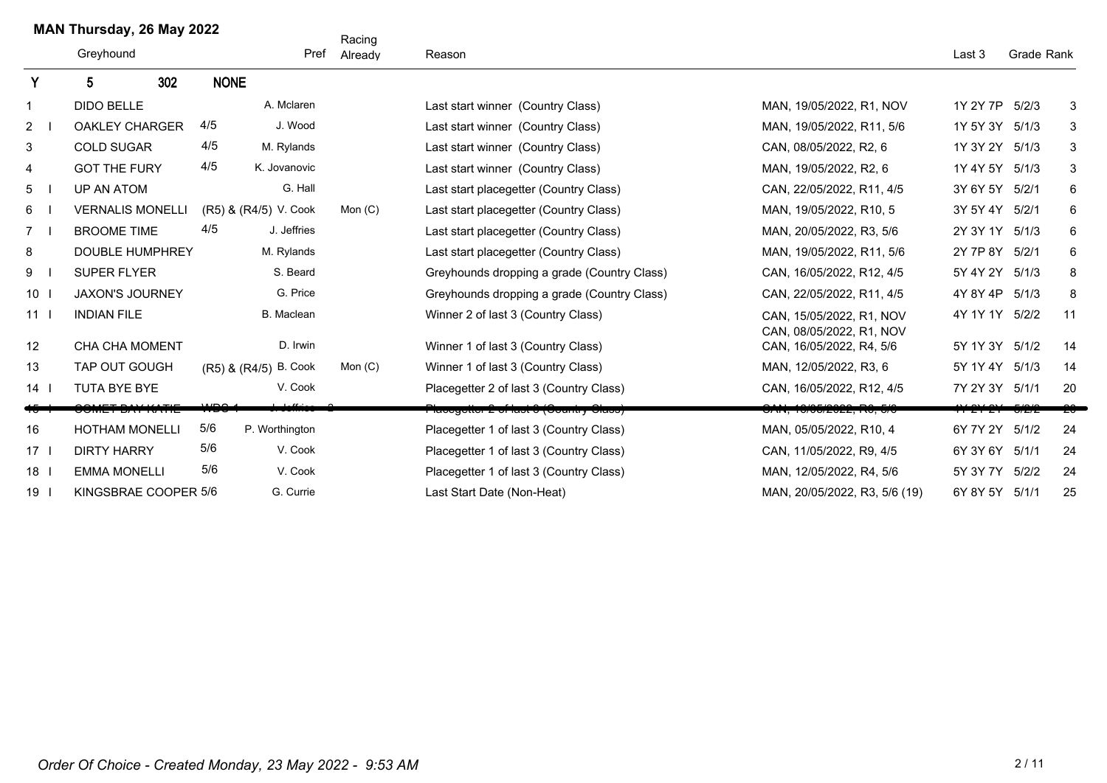|              |                 | MAN Thursday, 26 May 2022 |         |             |                       | Racing    |                                             |                                                      |                             |             |
|--------------|-----------------|---------------------------|---------|-------------|-----------------------|-----------|---------------------------------------------|------------------------------------------------------|-----------------------------|-------------|
|              |                 | Greyhound                 |         |             | Pref                  | Already   | Reason                                      |                                                      | Last 3                      | Grade Rank  |
| Y            |                 | 5.                        | 302     | <b>NONE</b> |                       |           |                                             |                                                      |                             |             |
| $\mathbf{1}$ |                 | <b>DIDO BELLE</b>         |         |             | A. Mclaren            |           | Last start winner (Country Class)           | MAN, 19/05/2022, R1, NOV                             | 1Y 2Y 7P                    | 5/2/3<br>3  |
| 2            |                 | <b>OAKLEY CHARGER</b>     |         | 4/5         | J. Wood               |           | Last start winner (Country Class)           | MAN, 19/05/2022, R11, 5/6                            | 1Y 5Y 3Y                    | 3<br>5/1/3  |
| 3            |                 | <b>COLD SUGAR</b>         |         | 4/5         | M. Rylands            |           | Last start winner (Country Class)           | CAN, 08/05/2022, R2, 6                               | 1Y 3Y 2Y                    | 5/1/3<br>3  |
| 4            |                 | <b>GOT THE FURY</b>       |         | 4/5         | K. Jovanovic          |           | Last start winner (Country Class)           | MAN, 19/05/2022, R2, 6                               | 1Y 4Y 5Y                    | 3<br>5/1/3  |
| 5            |                 | UP AN ATOM                |         |             | G. Hall               |           | Last start placegetter (Country Class)      | CAN, 22/05/2022, R11, 4/5                            | 3Y 6Y 5Y                    | 5/2/1<br>6  |
| 6            |                 | <b>VERNALIS MONELLI</b>   |         |             | (R5) & (R4/5) V. Cook | Mon $(C)$ | Last start placegetter (Country Class)      | MAN, 19/05/2022, R10, 5                              | 3Y 5Y 4Y 5/2/1              | 6           |
| $7^{\circ}$  |                 | <b>BROOME TIME</b>        |         | 4/5         | J. Jeffries           |           | Last start placegetter (Country Class)      | MAN, 20/05/2022, R3, 5/6                             | 2Y 3Y 1Y                    | 5/1/3<br>6  |
| 8            |                 | <b>DOUBLE HUMPHREY</b>    |         |             | M. Rylands            |           | Last start placegetter (Country Class)      | MAN, 19/05/2022, R11, 5/6                            | 2Y 7P 8Y                    | 6<br>5/2/1  |
| 9            |                 | <b>SUPER FLYER</b>        |         |             | S. Beard              |           | Greyhounds dropping a grade (Country Class) | CAN, 16/05/2022, R12, 4/5                            | 5Y 4Y 2Y                    | 8<br>5/1/3  |
| 10           |                 | <b>JAXON'S JOURNEY</b>    |         |             | G. Price              |           | Greyhounds dropping a grade (Country Class) | CAN, 22/05/2022, R11, 4/5                            | 4Y 8Y 4P                    | 5/1/3<br>8  |
|              | 11 <sub>l</sub> | <b>INDIAN FILE</b>        |         |             | B. Maclean            |           | Winner 2 of last 3 (Country Class)          | CAN, 15/05/2022, R1, NOV<br>CAN. 08/05/2022. R1. NOV | 4Y 1Y 1Y                    | 5/2/2<br>11 |
| 12           |                 | <b>CHA CHA MOMENT</b>     |         |             | D. Irwin              |           | Winner 1 of last 3 (Country Class)          | CAN, 16/05/2022, R4, 5/6                             | 5Y 1Y 3Y 5/1/2              | 14          |
| 13           |                 | TAP OUT GOUGH             |         |             | (R5) & (R4/5) B. Cook | Mon $(C)$ | Winner 1 of last 3 (Country Class)          | MAN, 12/05/2022, R3, 6                               | 5Y 1Y 4Y                    | 14<br>5/1/3 |
| 14           |                 | TUTA BYE BYE              |         |             | V. Cook               |           | Placegetter 2 of last 3 (Country Class)     | CAN, 16/05/2022, R12, 4/5                            | 7Y 2Y 3Y 5/1/1              | 20          |
|              |                 |                           | $F + P$ | محسب        |                       |           | Placegetter 2 of last 3 (Gountry Class)     | <del>OAN, 10/05/2022, R0, 5/0</del>                  | <del>YY 2Y 2Y - 5/2/2</del> |             |
| 16           |                 | <b>HOTHAM MONELLI</b>     |         | 5/6         | P. Worthington        |           | Placegetter 1 of last 3 (Country Class)     | MAN, 05/05/2022, R10, 4                              | 6Y 7Y 2Y                    | 5/1/2<br>24 |
|              | 17 I            | <b>DIRTY HARRY</b>        |         | 5/6         | V. Cook               |           | Placegetter 1 of last 3 (Country Class)     | CAN, 11/05/2022, R9, 4/5                             | 6Y 3Y 6Y 5/1/1              | 24          |
| 18           |                 | <b>EMMA MONELLI</b>       |         | 5/6         | V. Cook               |           | Placegetter 1 of last 3 (Country Class)     | MAN. 12/05/2022. R4. 5/6                             | 5Y 3Y 7Y                    | 24<br>5/2/2 |
|              | 19 <sup>1</sup> | KINGSBRAE COOPER 5/6      |         |             | G. Currie             |           | Last Start Date (Non-Heat)                  | MAN, 20/05/2022, R3, 5/6 (19)                        | 6Y 8Y 5Y                    | 25<br>5/1/1 |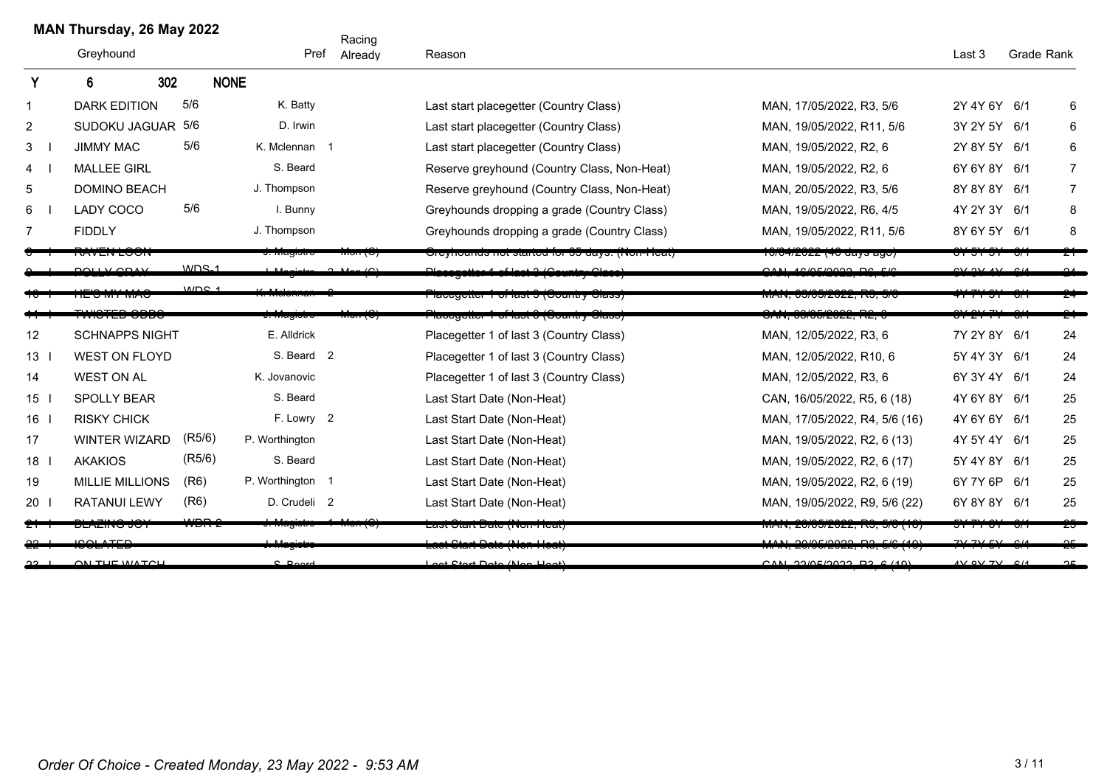|                 | MAN Thursday, 26 May 2022 |                  |                  |                     | Racing  |                                                       |                                             |                    |            |                |
|-----------------|---------------------------|------------------|------------------|---------------------|---------|-------------------------------------------------------|---------------------------------------------|--------------------|------------|----------------|
|                 | Greyhound                 |                  |                  | Pref                | Already | Reason                                                |                                             | Last 3             | Grade Rank |                |
| Y               | 302<br>6                  |                  | <b>NONE</b>      |                     |         |                                                       |                                             |                    |            |                |
| $\mathbf{1}$    | <b>DARK EDITION</b>       | 5/6              |                  | K. Batty            |         | Last start placegetter (Country Class)                | MAN, 17/05/2022, R3, 5/6                    | 2Y 4Y 6Y 6/1       |            | 6              |
| $\overline{2}$  | SUDOKU JAGUAR 5/6         |                  |                  | D. Irwin            |         | Last start placegetter (Country Class)                | MAN, 19/05/2022, R11, 5/6                   | 3Y 2Y 5Y 6/1       |            | 6              |
| 3               | <b>JIMMY MAC</b>          | 5/6              |                  | K. Mclennan 1       |         | Last start placegetter (Country Class)                | MAN, 19/05/2022, R2, 6                      | 2Y 8Y 5Y 6/1       |            | 6              |
| $\overline{4}$  | <b>MALLEE GIRL</b>        |                  |                  | S. Beard            |         | Reserve greyhound (Country Class, Non-Heat)           | MAN, 19/05/2022, R2, 6                      | 6Y 6Y 8Y           | 6/1        | $\overline{7}$ |
| 5               | <b>DOMINO BEACH</b>       |                  | J. Thompson      |                     |         | Reserve greyhound (Country Class, Non-Heat)           | MAN, 20/05/2022, R3, 5/6                    | 8Y 8Y 8Y 6/1       |            | $\overline{7}$ |
| 6               | <b>LADY COCO</b>          | 5/6              |                  | I. Bunny            |         | Greyhounds dropping a grade (Country Class)           | MAN, 19/05/2022, R6, 4/5                    | 4Y 2Y 3Y 6/1       |            | 8              |
| 7               | <b>FIDDLY</b>             |                  | J. Thompson      |                     |         | Greyhounds dropping a grade (Country Class)           | MAN, 19/05/2022, R11, 5/6                   | 8Y 6Y 5Y 6/1       |            | 8              |
|                 | <b>VWLN LVVI</b>          |                  |                  | <del>, magiou</del> |         | יוסיו לאטוזיוסטוועט וואס נאו נאון איז פאווטטווען וואס | <del>10/04/2022 (40 days ago)</del>         | <u>ਾ ਹਾ ਹ</u>      |            |                |
|                 | بممص يجبسهم               | $WDS-1$          |                  |                     |         | <b>Naccgotter 1 of last 3 (Gountry Glase)</b>         | CAN, 16/05/2022, RC, 5/0                    |                    |            |                |
|                 | 12 J M IMAC               | MDC <sub>4</sub> |                  |                     |         | ι ιασουσισι τοι ιαδί ο (φούτιτι y φιαδο <i>)</i>      | יט ,טור <i>וויז</i> , <i>טעיטי</i> נט , אור |                    |            |                |
|                 | <del>טטטט טבו טווא</del>  |                  |                  | u. magiotic         |         | ι ιασογοιτοι τησι ιαστηγουσιτική στασσ <i>ή</i>       | <del>טרעא, טטעטערבע, דור</del> ש            |                    |            |                |
| 12              | <b>SCHNAPPS NIGHT</b>     |                  |                  | E. Alldrick         |         | Placegetter 1 of last 3 (Country Class)               | MAN, 12/05/2022, R3, 6                      | 7Y 2Y 8Y 6/1       |            | 24             |
| 13              | <b>WEST ON FLOYD</b>      |                  |                  | S. Beard 2          |         | Placegetter 1 of last 3 (Country Class)               | MAN, 12/05/2022, R10, 6                     | 5Y 4Y 3Y 6/1       |            | 24             |
| 14              | <b>WEST ON AL</b>         |                  |                  | K. Jovanovic        |         | Placegetter 1 of last 3 (Country Class)               | MAN, 12/05/2022, R3, 6                      | 6Y 3Y 4Y 6/1       |            | 24             |
| 15 <sup>1</sup> | SPOLLY BEAR               |                  |                  | S. Beard            |         | Last Start Date (Non-Heat)                            | CAN, 16/05/2022, R5, 6 (18)                 | 4Y 6Y 8Y 6/1       |            | 25             |
| 16              | <b>RISKY CHICK</b>        |                  |                  | F. Lowry 2          |         | Last Start Date (Non-Heat)                            | MAN, 17/05/2022, R4, 5/6 (16)               | 4Y 6Y 6Y           | 6/1        | 25             |
| 17              | <b>WINTER WIZARD</b>      | (R5/6)           | P. Worthington   |                     |         | Last Start Date (Non-Heat)                            | MAN, 19/05/2022, R2, 6 (13)                 | 4Y 5Y 4Y 6/1       |            | 25             |
| $18-1$          | <b>AKAKIOS</b>            | (R5/6)           |                  | S. Beard            |         | Last Start Date (Non-Heat)                            | MAN, 19/05/2022, R2, 6 (17)                 | 5Y 4Y 8Y 6/1       |            | 25             |
| 19              | <b>MILLIE MILLIONS</b>    | (R6)             | P. Worthington 1 |                     |         | Last Start Date (Non-Heat)                            | MAN, 19/05/2022, R2, 6 (19)                 | 6Y 7Y 6P           | 6/1        | 25             |
| 20              | <b>RATANUI LEWY</b>       | (R6)             |                  | D. Crudeli 2        |         | Last Start Date (Non-Heat)                            | MAN, 19/05/2022, R9, 5/6 (22)               | 6Y 8Y 8Y 6/1       |            | 25             |
|                 | סט טאווגע                 |                  |                  | o. magiotro         |         | ∟αδι Θιαπ Ραις (ποπ•πςαι)                             | ן טוּ ן טיש, בער בעבר, ו זיט, טיש ן וו      |                    |            |                |
|                 | <b>1001 ATED</b>          |                  |                  | $A = 0$             |         | <b>A Clout Data (Man Haat)</b>                        | MAN OOKEROOO DO EK (40)                     | 7V 7V FV 014       |            | $\sim$         |
|                 | <b>ON THE WATCH</b>       |                  |                  | C Doord             |         | Loot Ctart Data (Nan Hoot)                            | $CAN$ <i>CAN CONCISION</i>                  | $4V$ QV $7V$ $614$ |            |                |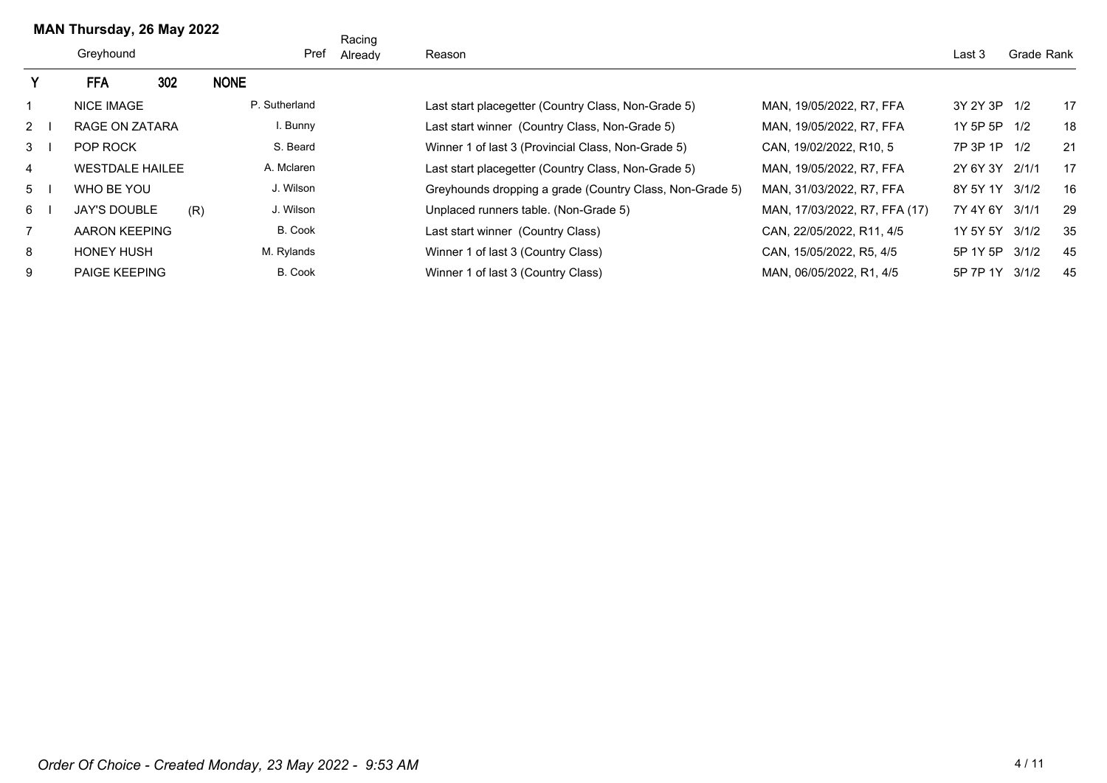|                | MAN Thursday, 26 May 2022 |     |             |                | Racing  |                                                          |                               |                |            |    |
|----------------|---------------------------|-----|-------------|----------------|---------|----------------------------------------------------------|-------------------------------|----------------|------------|----|
|                | Greyhound                 |     |             | Pref           | Already | Reason                                                   |                               | Last 3         | Grade Rank |    |
|                | <b>FFA</b>                | 302 | <b>NONE</b> |                |         |                                                          |                               |                |            |    |
|                | <b>NICE IMAGE</b>         |     |             | P. Sutherland  |         | Last start placegetter (Country Class, Non-Grade 5)      | MAN. 19/05/2022. R7. FFA      | 3Y 2Y 3P 1/2   |            | 17 |
| 2              | RAGE ON ZATARA            |     |             | I. Bunny       |         | Last start winner (Country Class, Non-Grade 5)           | MAN, 19/05/2022, R7, FFA      | 1Y 5P 5P 1/2   |            | 18 |
| 3 <sup>1</sup> | POP ROCK                  |     |             | S. Beard       |         | Winner 1 of last 3 (Provincial Class, Non-Grade 5)       | CAN, 19/02/2022, R10, 5       | 7P 3P 1P 1/2   |            | 21 |
| 4              | <b>WESTDALE HAILEE</b>    |     |             | A. Mclaren     |         | Last start placegetter (Country Class, Non-Grade 5)      | MAN. 19/05/2022. R7. FFA      | 2Y 6Y 3Y 2/1/1 |            | 17 |
| 5              | WHO BE YOU                |     |             | J. Wilson      |         | Greyhounds dropping a grade (Country Class, Non-Grade 5) | MAN, 31/03/2022, R7, FFA      | 8Y 5Y 1Y 3/1/2 |            | 16 |
| 6              | <b>JAY'S DOUBLE</b>       |     | (R)         | J. Wilson      |         | Unplaced runners table. (Non-Grade 5)                    | MAN, 17/03/2022, R7, FFA (17) | 7Y 4Y 6Y       | 3/1/1      | 29 |
| $\overline{7}$ | AARON KEEPING             |     |             | B. Cook        |         | Last start winner (Country Class)                        | CAN, 22/05/2022, R11, 4/5     | 1Y 5Y 5Y       | 3/1/2      | 35 |
| 8              | <b>HONEY HUSH</b>         |     |             | M. Rylands     |         | Winner 1 of last 3 (Country Class)                       | CAN, 15/05/2022, R5, 4/5      | 5P 1Y 5P       | 3/1/2      | 45 |
| 9              | <b>PAIGE KEEPING</b>      |     |             | <b>B.</b> Cook |         | Winner 1 of last 3 (Country Class)                       | MAN, 06/05/2022, R1, 4/5      | 5P 7P 1Y       | 3/1/2      | 45 |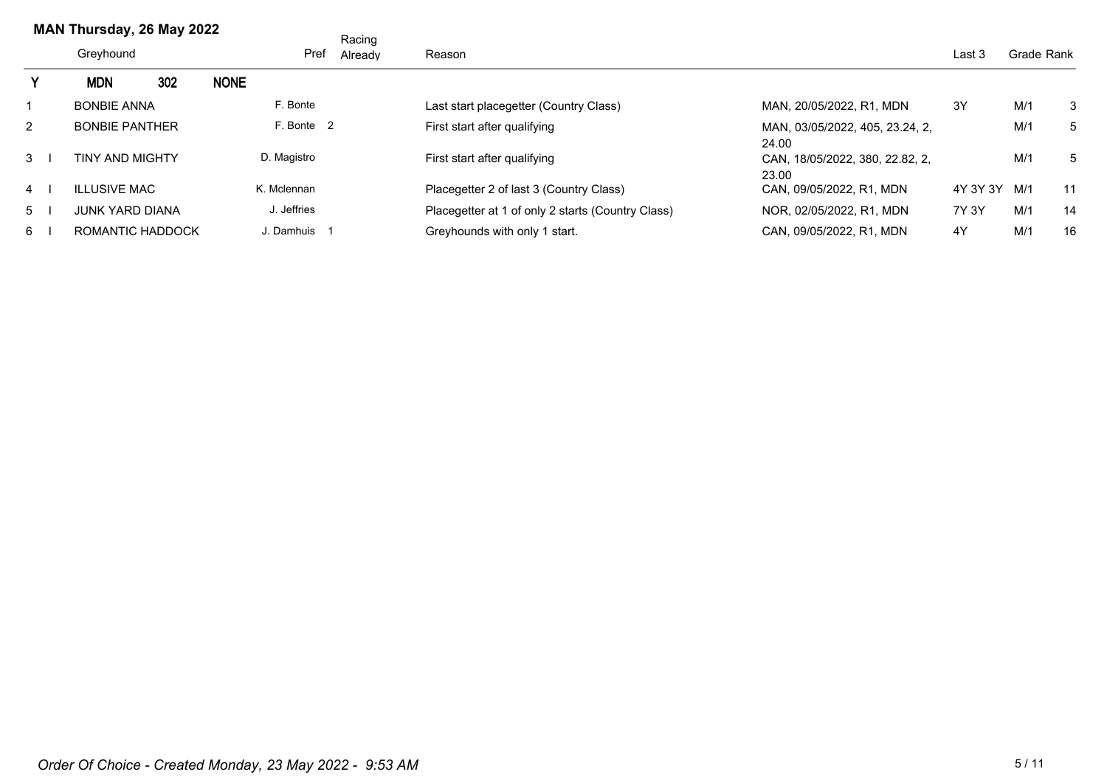|                | MAN Thursday, 26 May 2022 |     |             |              | Racing  |                                                   |                                          |          |            |    |
|----------------|---------------------------|-----|-------------|--------------|---------|---------------------------------------------------|------------------------------------------|----------|------------|----|
|                | Greyhound                 |     |             | Pref         | Already | Reason                                            |                                          | Last 3   | Grade Rank |    |
|                | <b>MDN</b>                | 302 | <b>NONE</b> |              |         |                                                   |                                          |          |            |    |
|                | <b>BONBIE ANNA</b>        |     |             | F. Bonte     |         | Last start placegetter (Country Class)            | MAN, 20/05/2022, R1, MDN                 | 3Y       | M/1        | 3  |
| $\overline{2}$ | <b>BONBIE PANTHER</b>     |     |             | F. Bonte 2   |         | First start after qualifying                      | MAN, 03/05/2022, 405, 23.24, 2,<br>24.00 |          | M/1        | 5  |
| $3 \mid$       | <b>TINY AND MIGHTY</b>    |     |             | D. Magistro  |         | First start after qualifying                      | CAN, 18/05/2022, 380, 22.82, 2,<br>23.00 |          | M/1        | 5  |
| $4 \mid$       | <b>ILLUSIVE MAC</b>       |     |             | K. Mclennan  |         | Placegetter 2 of last 3 (Country Class)           | CAN. 09/05/2022. R1. MDN                 | 4Y 3Y 3Y | M/1        | 11 |
| $5^{\circ}$    | <b>JUNK YARD DIANA</b>    |     |             | J. Jeffries  |         | Placegetter at 1 of only 2 starts (Country Class) | NOR, 02/05/2022, R1, MDN                 | 7Y 3Y    | M/1        | 14 |
| 6              | ROMANTIC HADDOCK          |     |             | J. Damhuis 1 |         | Greyhounds with only 1 start.                     | CAN. 09/05/2022. R1. MDN                 | 4Y       | M/1        | 16 |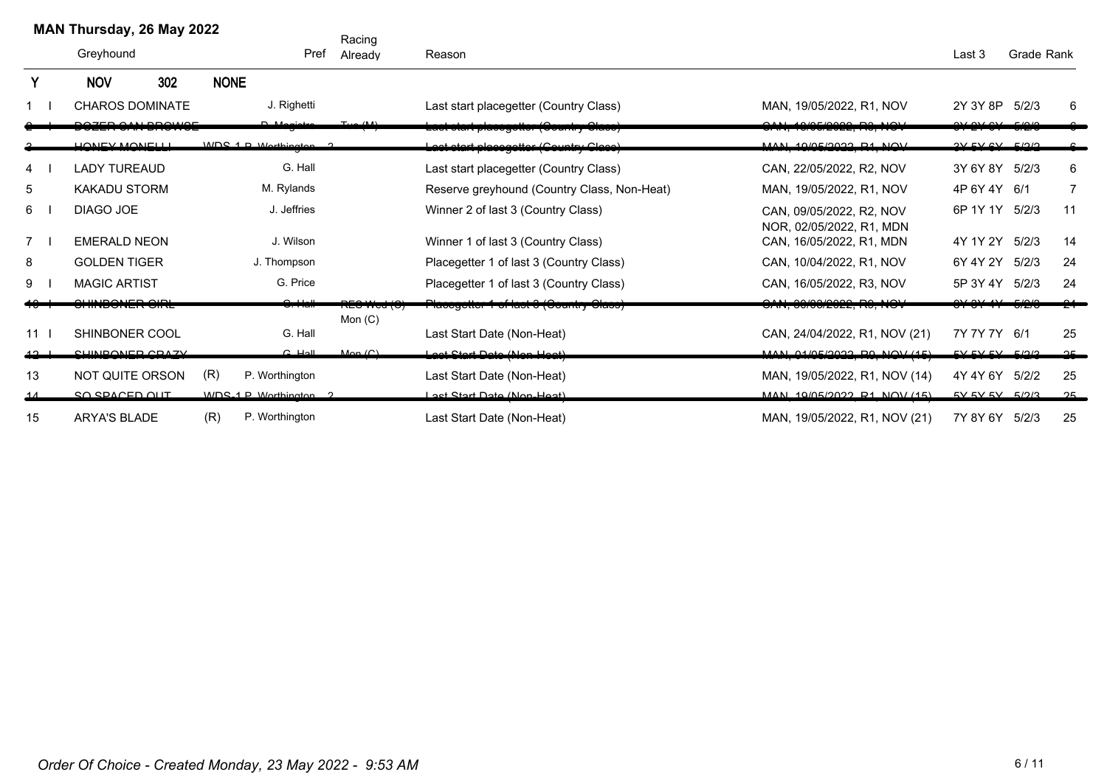|    | MAN Thursday, 26 May 2022 |                        |             |                        | Racing                     |                                             |                                                                   |                      |            |          |
|----|---------------------------|------------------------|-------------|------------------------|----------------------------|---------------------------------------------|-------------------------------------------------------------------|----------------------|------------|----------|
|    | Greyhound                 |                        |             | Pref                   | Already                    | Reason                                      |                                                                   | Last 3               | Grade Rank |          |
|    | <b>NOV</b>                | 302                    | <b>NONE</b> |                        |                            |                                             |                                                                   |                      |            |          |
|    |                           | <b>CHAROS DOMINATE</b> |             | J. Righetti            |                            | Last start placegetter (Country Class)      | MAN, 19/05/2022, R1, NOV                                          | 2Y 3Y 8P             | 5/2/3      | 6        |
|    |                           | DOZED OAN BROWAE       |             |                        |                            | Lact clart placegetter (Country Clace)      | 101051000000011011<br><del>יטו וטובטבב, ווט, ווט</del>            | $\sim$ $\sim$ $\sim$ | F/2/2      |          |
|    | LIONIEV MONIELLI          |                        |             | MDC 4 D Morthination 2 |                            | Lact ctart placegotter (Country Clace)      | MAN 40/05/0000 D4 NOV<br><del>, , , , , , , , , , , , , , ,</del> | 2V FVA               |            |          |
| 4  | <b>LADY TUREAUD</b>       |                        |             | G. Hall                |                            | Last start placegetter (Country Class)      | CAN, 22/05/2022, R2, NOV                                          | 3Y 6Y 8Y             | 5/2/3      | 6        |
| 5  | <b>KAKADU STORM</b>       |                        |             | M. Rylands             |                            | Reserve greyhound (Country Class, Non-Heat) | MAN, 19/05/2022, R1, NOV                                          | 4P 6Y 4Y 6/1         |            | 7        |
| 6  | DIAGO JOE                 |                        |             | J. Jeffries            |                            | Winner 2 of last 3 (Country Class)          | CAN, 09/05/2022, R2, NOV<br>NOR, 02/05/2022, R1, MDN              | 6P 1Y 1Y             | 5/2/3      | 11       |
| 7  | <b>EMERALD NEON</b>       |                        |             | J. Wilson              |                            | Winner 1 of last 3 (Country Class)          | CAN, 16/05/2022, R1, MDN                                          | 4Y 1Y 2Y             | 5/2/3      | 14       |
| 8  | <b>GOLDEN TIGER</b>       |                        |             | J. Thompson            |                            | Placegetter 1 of last 3 (Country Class)     | CAN, 10/04/2022, R1, NOV                                          | 6Y 4Y 2Y             | 5/2/3      | 24       |
| 9  | <b>MAGIC ARTIST</b>       |                        |             | G. Price               |                            | Placegetter 1 of last 3 (Country Class)     | CAN, 16/05/2022, R3, NOV                                          | 5P 3Y 4Y 5/2/3       |            | 24       |
|    | u muuduma um              |                        |             |                        | י אבס איכט וכ<br>Mon $(C)$ | ι ιασουμετιση η οι ιαστιση συμπτηγισιασση   | <del>י טו זיה שטוסטובטבב, דוס, דור</del> ש                        |                      |            |          |
| 11 | SHINBONER COOL            |                        |             | G. Hall                |                            | Last Start Date (Non-Heat)                  | CAN, 24/04/2022, R1, NOV (21)                                     | 7Y 7Y 7Y 6/1         |            | 25       |
| ഛ_ | CUINDONED CDAZV           |                        |             | $C$ Hall               | Man(Cl)                    | Loot Ctart Data (Nan Haat)                  | MAN A/AC/2022 D0 NQV/4E                                           | EVCVEV EV EV012      |            | $\Omega$ |
| 13 | NOT QUITE ORSON           |                        | (R)         | P. Worthington         |                            | Last Start Date (Non-Heat)                  | MAN, 19/05/2022, R1, NOV (14)                                     | 4Y 4Y 6Y 5/2/2       |            | 25       |
|    | SO SPACED OUT             |                        |             | WDS 1 P Worthington 2  |                            | Loet Start Date (Nen Heat)                  | MAN 10/05/2022 R1 NOV (15)                                        | $EVALU$ $EVALU$      |            | 25       |
| 15 | <b>ARYA'S BLADE</b>       |                        | (R)         | P. Worthington         |                            | Last Start Date (Non-Heat)                  | MAN, 19/05/2022, R1, NOV (21)                                     | 7Y 8Y 6Y 5/2/3       |            | 25       |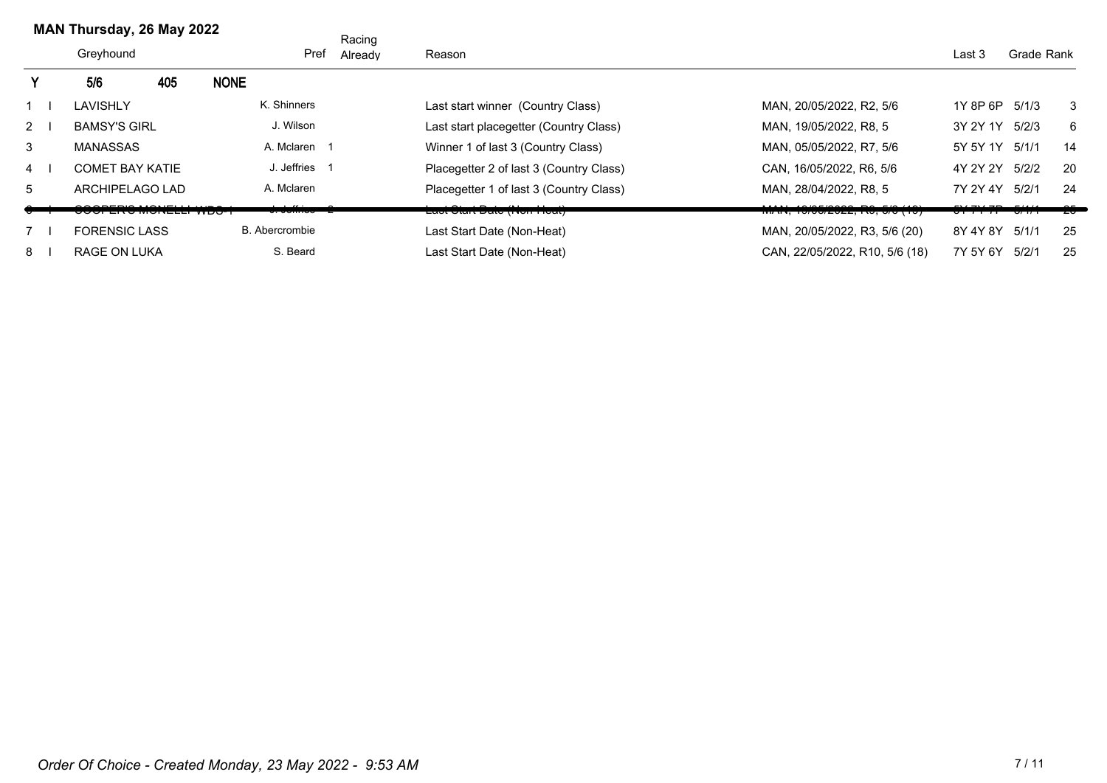|                | MAN Thursday, 26 May 2022    |     |             |                   | Racing  |                                         |                                      |                    |             |                |
|----------------|------------------------------|-----|-------------|-------------------|---------|-----------------------------------------|--------------------------------------|--------------------|-------------|----------------|
|                | Greyhound                    |     |             | Pref              | Already | Reason                                  |                                      | Last 3             | Grade Rank  |                |
|                | 5/6                          | 405 | <b>NONE</b> |                   |         |                                         |                                      |                    |             |                |
|                | LAVISHLY                     |     |             | K. Shinners       |         | Last start winner (Country Class)       | MAN, 20/05/2022, R2, 5/6             | 1Y 8P 6P 5/1/3     |             | 3              |
| $2^{\circ}$    | <b>BAMSY'S GIRL</b>          |     |             | J. Wilson         |         | Last start placegetter (Country Class)  | MAN, 19/05/2022, R8, 5               | 3Y 2Y 1Y           | 5/2/3       | 6              |
| 3              | <b>MANASSAS</b>              |     |             | A. Mclaren 1      |         | Winner 1 of last 3 (Country Class)      | MAN, 05/05/2022, R7, 5/6             | 5Y 5Y 1Y 5/1/1     |             | 14             |
| $\overline{4}$ | <b>COMET BAY KATIE</b>       |     |             | J. Jeffries 1     |         | Placegetter 2 of last 3 (Country Class) | CAN, 16/05/2022, R6, 5/6             | 4Y 2Y 2Y           | 5/2/2       | 20             |
| 5              | ARCHIPELAGO LAD              |     |             | A. Mclaren        |         | Placegetter 1 of last 3 (Country Class) | MAN. 28/04/2022. R8. 5               | 7Y 2Y 4Y           | 5/2/1       | 24             |
|                | <del>uuu en a wuneee v</del> |     |             | $\sigma$ . Johnoo |         | <u> Last σταιτ Date (πιση-πισαι)</u>    | <u>נטון טיש, גאז געשיש, וואיזיזי</u> | <del>,,,,,,,</del> | <u> ਗਾਜ</u> | z <del>o</del> |
|                | <b>FORENSIC LASS</b>         |     |             | B. Abercrombie    |         | Last Start Date (Non-Heat)              | MAN, 20/05/2022, R3, 5/6 (20)        | 8Y 4Y 8Y 5/1/1     |             | 25             |
| 8              | <b>RAGE ON LUKA</b>          |     |             | S. Beard          |         | Last Start Date (Non-Heat)              | CAN, 22/05/2022, R10, 5/6 (18)       | 7Y 5Y 6Y           | 5/2/1       | 25             |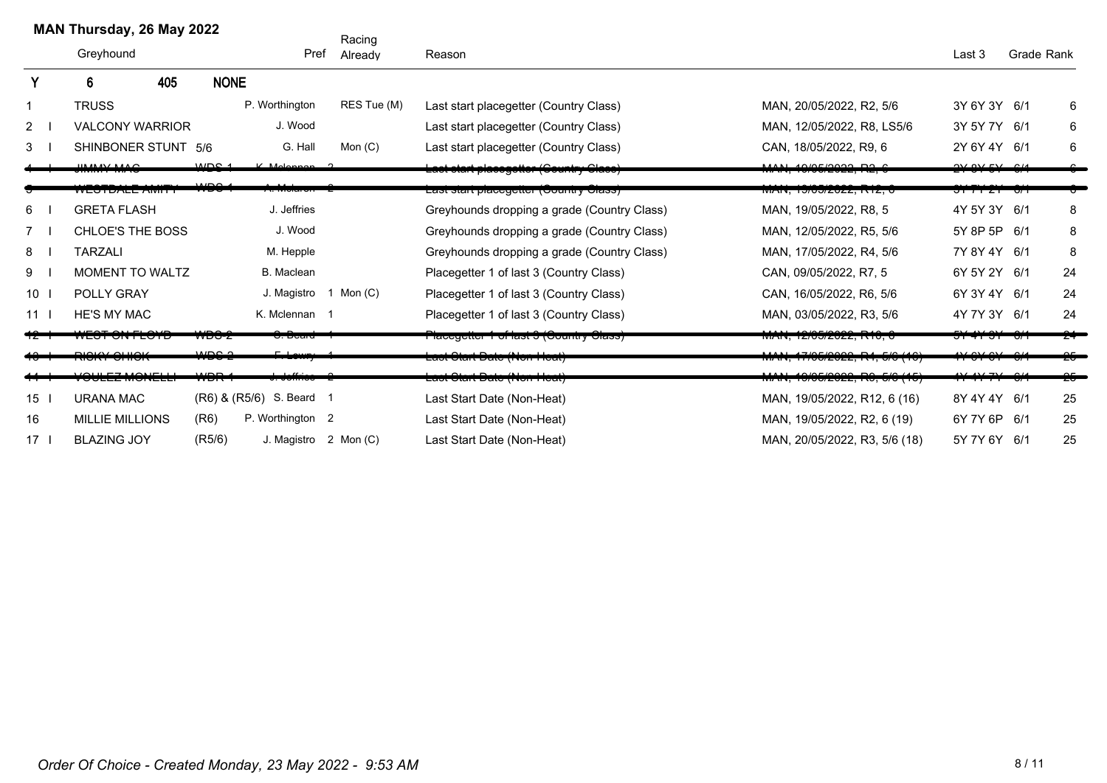|                 | MAN Thursday, 26 May 2022                    |                          |                          | Racing                |                                             |                                                                                                                    |                               |            |    |
|-----------------|----------------------------------------------|--------------------------|--------------------------|-----------------------|---------------------------------------------|--------------------------------------------------------------------------------------------------------------------|-------------------------------|------------|----|
|                 | Greyhound                                    |                          | Pref                     | Already               | Reason                                      |                                                                                                                    | Last 3                        | Grade Rank |    |
|                 | 405<br>6                                     | <b>NONE</b>              |                          |                       |                                             |                                                                                                                    |                               |            |    |
|                 | <b>TRUSS</b>                                 |                          | P. Worthington           | RES Tue (M)           | Last start placegetter (Country Class)      | MAN, 20/05/2022, R2, 5/6                                                                                           | 3Y 6Y 3Y 6/1                  |            | 6  |
| $2^{\circ}$     | <b>VALCONY WARRIOR</b>                       |                          | J. Wood                  |                       | Last start placegetter (Country Class)      | MAN, 12/05/2022, R8, LS5/6                                                                                         | 3Y 5Y 7Y 6/1                  |            | 6  |
| 3               | SHINBONER STUNT 5/6                          |                          | G. Hall                  | Mon $(C)$             | Last start placegetter (Country Class)      | CAN, 18/05/2022, R9, 6                                                                                             | 2Y 6Y 4Y 6/1                  |            | 6  |
|                 | IIMAANINAAO                                  | MDC <sub>4</sub>         | V Melennen 2             |                       | Lact ctart placegotter (Country Clace)      | MAN 4010510000 DO C                                                                                                | 2V 2V FV 2U                   |            |    |
|                 | WESTRALE AWIT                                | $\overline{11}$          | $\overline{v}$ we detect |                       | Last start placegetter (Country Class)      | <del>MAN, 19/05/2022, R12, 0</del>                                                                                 | <del>,,,,,,,,,,,,,,,,,,</del> |            |    |
| 6               | <b>GRETA FLASH</b>                           |                          | J. Jeffries              |                       | Greyhounds dropping a grade (Country Class) | MAN, 19/05/2022, R8, 5                                                                                             | 4Y 5Y 3Y 6/1                  |            | 8  |
| $7^{\circ}$     | <b>CHLOE'S THE BOSS</b>                      |                          | J. Wood                  |                       | Greyhounds dropping a grade (Country Class) | MAN, 12/05/2022, R5, 5/6                                                                                           | 5Y 8P 5P 6/1                  |            | 8  |
| 8               | <b>TARZALI</b>                               |                          | M. Hepple                |                       | Greyhounds dropping a grade (Country Class) | MAN, 17/05/2022, R4, 5/6                                                                                           | 7Y 8Y 4Y 6/1                  |            | 8  |
| 9               | <b>MOMENT TO WALTZ</b>                       |                          | B. Maclean               |                       | Placegetter 1 of last 3 (Country Class)     | CAN, 09/05/2022, R7, 5                                                                                             | 6Y 5Y 2Y 6/1                  |            | 24 |
| 10              | POLLY GRAY                                   |                          |                          | J. Magistro 1 Mon (C) | Placegetter 1 of last 3 (Country Class)     | CAN, 16/05/2022, R6, 5/6                                                                                           | 6Y 3Y 4Y 6/1                  |            | 24 |
| 11              | <b>HE'S MY MAC</b>                           |                          | K. Mclennan 1            |                       | Placegetter 1 of last 3 (Country Class)     | MAN, 03/05/2022, R3, 5/6                                                                                           | 4Y 7Y 3Y 6/1                  |            | 24 |
|                 | WEST UNTEUTD                                 | <b>₩D∪∼</b>              | <del>. Doaru</del>       |                       | ι ιαυσγοιισι τοι ιαδι ο (φυμπιτή φιαδδ)     | $1$ WIAIN, 12/VUIZUZZ, INTU, U                                                                                     | <del>ਗ਼ਸ਼</del> ਜ਼ਗ਼ਜ਼ਗ਼      |            |    |
|                 | يتصيبيه عصيصيد<br><del>1911 - 91 119</del> 1 | مصمين                    | ىلە                      |                       | <del>Last Clart Date (Non Heat)</del>       | , טו זיר, דוו שטו בט בב, דגד, טו ט זיר                                                                             | $\mathbf{u}$ or or or         |            |    |
|                 | $H = 7 M Q V = 1.1$<br><b>VULLE WIVITERS</b> | $\overline{\phantom{a}}$ |                          |                       | <del>Last Olart Date (Non Heal)</del>       | $A \cap B \cap B \cap C \cap D \cap C \cap D \cap D$<br><del>וטון טוט, וטוטטובעב, וו</del> ט, <del>טוט ן וטן</del> | $117.71 \times 11$            |            | 25 |
| 15              | <b>URANA MAC</b>                             |                          | (R6) & (R5/6) S. Beard 1 |                       | Last Start Date (Non-Heat)                  | MAN, 19/05/2022, R12, 6 (16)                                                                                       | 8Y 4Y 4Y 6/1                  |            | 25 |
| 16              | <b>MILLIE MILLIONS</b>                       | (R6)                     | P. Worthington 2         |                       | Last Start Date (Non-Heat)                  | MAN, 19/05/2022, R2, 6 (19)                                                                                        | 6Y 7Y 6P 6/1                  |            | 25 |
| 17 <sup>7</sup> | <b>BLAZING JOY</b>                           | (R5/6)                   |                          | J. Magistro 2 Mon (C) | Last Start Date (Non-Heat)                  | MAN, 20/05/2022, R3, 5/6 (18)                                                                                      | 5Y 7Y 6Y 6/1                  |            | 25 |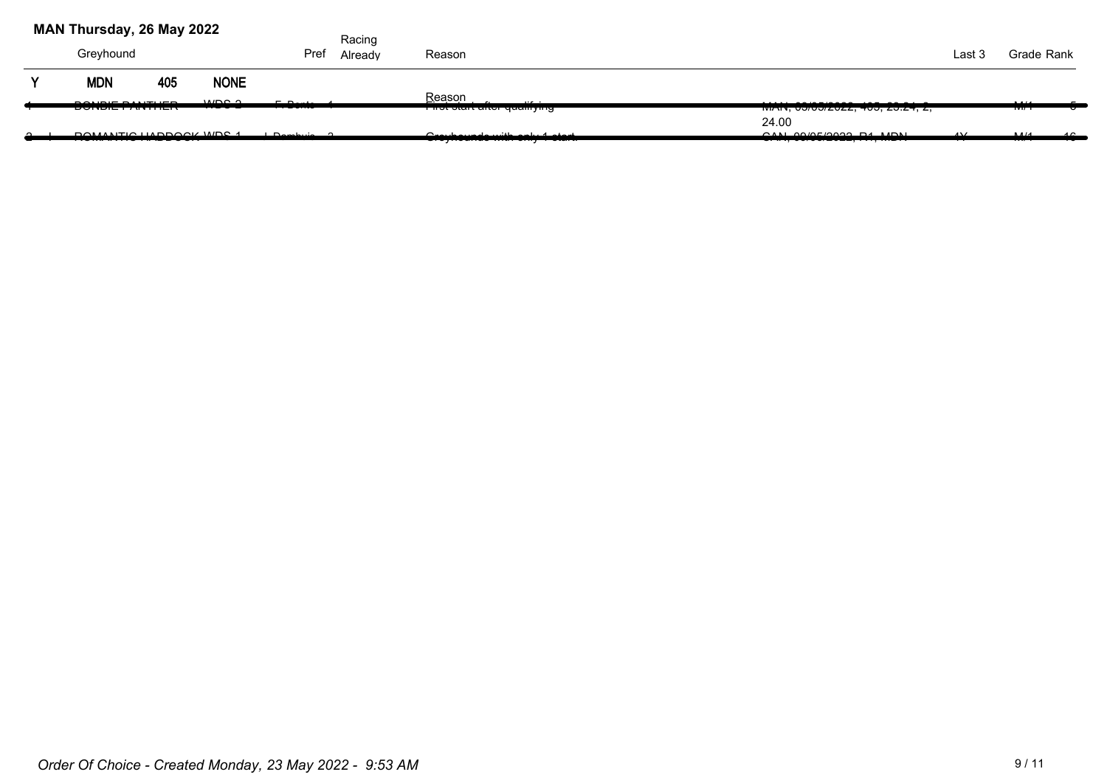|   | MAN Thursday, 26 May 2022 |     |                                 |                                     | Racing  |                                                                           |                                                 |                |                |            |
|---|---------------------------|-----|---------------------------------|-------------------------------------|---------|---------------------------------------------------------------------------|-------------------------------------------------|----------------|----------------|------------|
|   | Greyhound                 |     |                                 | Pref                                | Already | Reason                                                                    |                                                 | Last 3         | Grade Rank     |            |
| v | <b>MDN</b>                | 405 | <b>NONE</b>                     |                                     |         |                                                                           |                                                 |                |                |            |
|   | 2010E21171E2              |     | MDO <sub>Q</sub><br><del></del> | $F \cdot D \cdot H$<br><del>.</del> |         | Reason<br>$\cdots$<br>r not otant antor quamying                          | TWAIN, UU/UU/ZUZZ, 400, ZU.Z4, Z,               |                | 1.11<br>1717 T |            |
|   |                           |     |                                 |                                     |         |                                                                           | 24.00                                           |                |                |            |
|   | DOMANTIO HADDOOK WDC 1    |     |                                 | مسلسمها                             |         | السميات المرباحيم والشريب والمحبيب والمرا<br>Oroynounuo with only rotuit. | OMLOMF/QQQQLRAH<br>$V''''''$ , $V''''$ , $V'''$ | $\overline{A}$ | AA/4<br>       | $\sqrt{2}$ |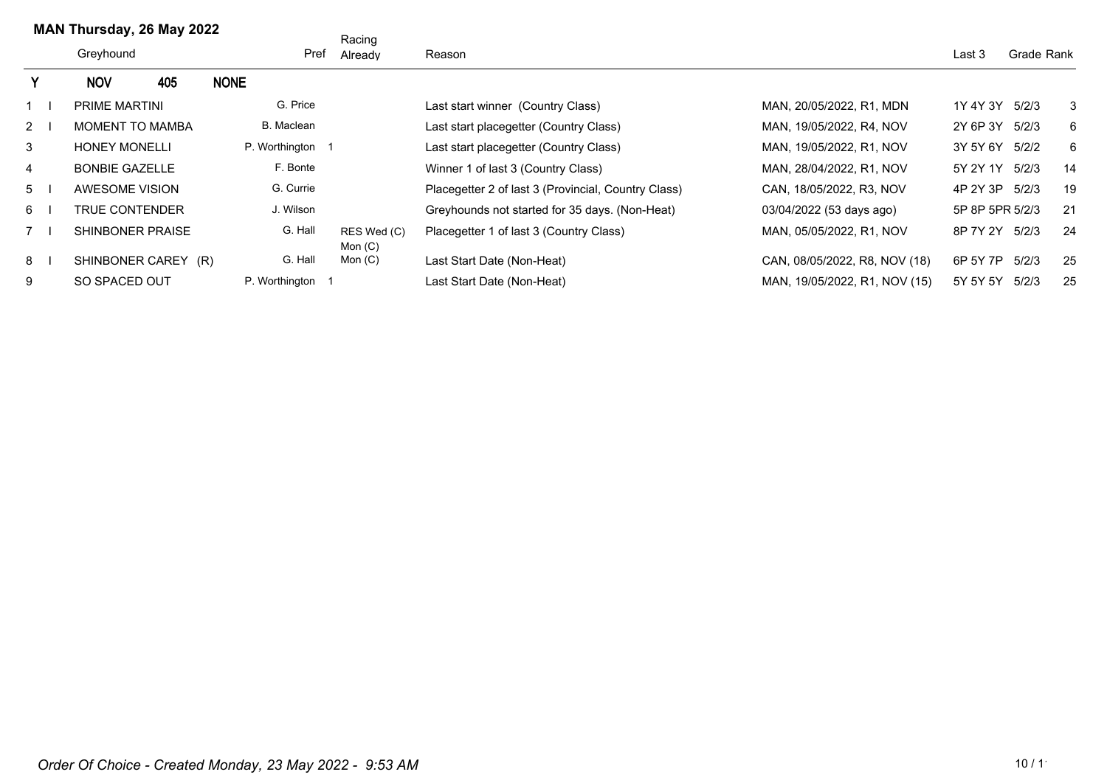|   | MAN Thursday, 26 May 2022 |     |                  | Racing                   |                                                     |                               |                 |            |    |
|---|---------------------------|-----|------------------|--------------------------|-----------------------------------------------------|-------------------------------|-----------------|------------|----|
|   | Greyhound                 |     | Pref             | Already                  | Reason                                              |                               | Last 3          | Grade Rank |    |
|   | <b>NOV</b>                | 405 | <b>NONE</b>      |                          |                                                     |                               |                 |            |    |
|   | <b>PRIME MARTINI</b>      |     | G. Price         |                          | Last start winner (Country Class)                   | MAN, 20/05/2022, R1, MDN      | 1Y 4Y 3Y        | 5/2/3      | 3  |
| 2 | <b>MOMENT TO MAMBA</b>    |     | B. Maclean       |                          | Last start placegetter (Country Class)              | MAN, 19/05/2022, R4, NOV      | 2Y 6P 3Y        | 5/2/3      | 6  |
| 3 | <b>HONEY MONELLI</b>      |     | P. Worthington 1 |                          | Last start placegetter (Country Class)              | MAN, 19/05/2022, R1, NOV      | 3Y 5Y 6Y        | 5/2/2      | 6  |
| 4 | <b>BONBIE GAZELLE</b>     |     | F. Bonte         |                          | Winner 1 of last 3 (Country Class)                  | MAN, 28/04/2022, R1, NOV      | 5Y 2Y 1Y        | 5/2/3      | 14 |
| 5 | AWESOME VISION            |     | G. Currie        |                          | Placegetter 2 of last 3 (Provincial, Country Class) | CAN, 18/05/2022, R3, NOV      | 4P 2Y 3P        | 5/2/3      | 19 |
| 6 | <b>TRUE CONTENDER</b>     |     | J. Wilson        |                          | Greyhounds not started for 35 days. (Non-Heat)      | 03/04/2022 (53 days ago)      | 5P 8P 5PR 5/2/3 |            | 21 |
|   | <b>SHINBONER PRAISE</b>   |     | G. Hall          | RES Wed (C)<br>Mon $(C)$ | Placegetter 1 of last 3 (Country Class)             | MAN, 05/05/2022, R1, NOV      | 8P 7Y 2Y        | 5/2/3      | 24 |
| 8 | SHINBONER CAREY (R)       |     | G. Hall          | Mon $(C)$                | Last Start Date (Non-Heat)                          | CAN, 08/05/2022, R8, NOV (18) | 6P 5Y 7P        | 5/2/3      | 25 |
| 9 | SO SPACED OUT             |     | P. Worthington 1 |                          | Last Start Date (Non-Heat)                          | MAN, 19/05/2022, R1, NOV (15) | 5Y 5Y 5Y        | 5/2/3      | 25 |